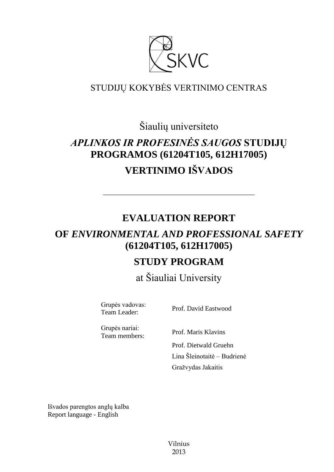

## STUDIJŲ KOKYBĖS VERTINIMO CENTRAS

Šiaulių universiteto

# *APLINKOS IR PROFESINĖS SAUGOS* **STUDIJŲ PROGRAMOS (61204T105, 612H17005) VERTINIMO IŠVADOS**

## **EVALUATION REPORT**

––––––––––––––––––––––––––––––

# **OF** *ENVIRONMENTAL AND PROFESSIONAL SAFETY*  **(61204T105, 612H17005)**

## **STUDY PROGRAM**

at Šiauliai University

Grupės vadovas:

Team Leader: Prof. David Eastwood

Grupės nariai: Team members: Prof. Maris Klavins

Prof. Dietwald Gruehn Lina Šleinotaitė – Budrienė Gražvydas Jakaitis

Išvados parengtos anglų kalba Report language - English

> Vilnius 2013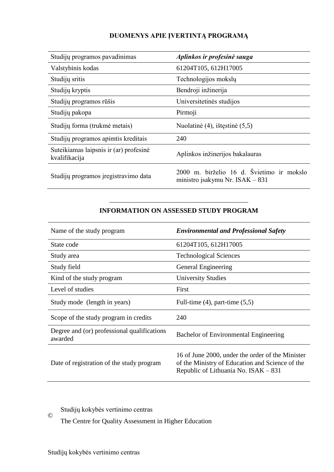### **DUOMENYS APIE ĮVERTINTĄ PROGRAMĄ**

| Studijų programos pavadinimas                           | Aplinkos ir profesinė sauga                                                  |
|---------------------------------------------------------|------------------------------------------------------------------------------|
| Valstybinis kodas                                       | 61204T105, 612H17005                                                         |
| Studijų sritis                                          | Technologijos mokslų                                                         |
| Studijų kryptis                                         | Bendroji inžinerija                                                          |
| Studijų programos rūšis                                 | Universitetinės studijos                                                     |
| Studijų pakopa                                          | Pirmoji                                                                      |
| Studijų forma (trukmė metais)                           | Nuolatinė (4), ištęstinė (5,5)                                               |
| Studijų programos apimtis kreditais                     | 240                                                                          |
| Suteikiamas laipsnis ir (ar) profesinė<br>kvalifikacija | Aplinkos inžinerijos bakalauras                                              |
| Studijų programos įregistravimo data                    | 2000 m. birželio 16 d. Švietimo ir mokslo<br>ministro įsakymu Nr. ISAK – 831 |

### ––––––––––––––––––––––––––––––– **INFORMATION ON ASSESSED STUDY PROGRAM**

| Name of the study program                              | <b>Environmental and Professional Safety</b>                                                                                                  |  |
|--------------------------------------------------------|-----------------------------------------------------------------------------------------------------------------------------------------------|--|
| State code                                             | 61204T105, 612H17005                                                                                                                          |  |
| Study area                                             | <b>Technological Sciences</b>                                                                                                                 |  |
| Study field                                            | General Engineering                                                                                                                           |  |
| Kind of the study program                              | <b>University Studies</b>                                                                                                                     |  |
| Level of studies                                       | First                                                                                                                                         |  |
| Study mode (length in years)                           | Full-time $(4)$ , part-time $(5,5)$                                                                                                           |  |
| Scope of the study program in credits                  | 240                                                                                                                                           |  |
| Degree and (or) professional qualifications<br>awarded | Bachelor of Environmental Engineering                                                                                                         |  |
| Date of registration of the study program              | 16 of June 2000, under the order of the Minister<br>of the Ministry of Education and Science of the<br>Republic of Lithuania No. $ISAK - 831$ |  |

Studijų kokybės vertinimo centras

The Centre for Quality Assessment in Higher Education

©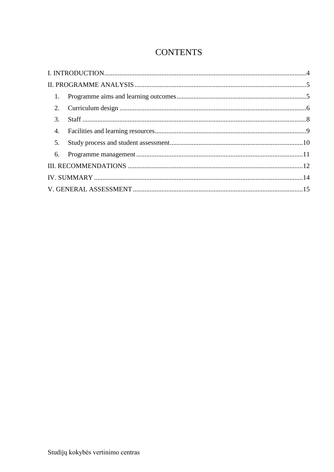## **CONTENTS**

| 1.             |  |
|----------------|--|
|                |  |
|                |  |
| 4.             |  |
| 5 <sub>1</sub> |  |
|                |  |
|                |  |
|                |  |
|                |  |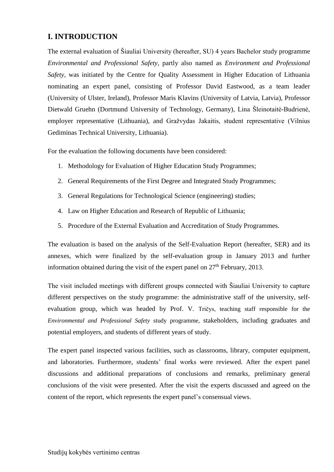## <span id="page-3-0"></span>**I. INTRODUCTION**

The external evaluation of Šiauliai University (hereafter, SU) 4 years Bachelor study programme *Environmental and Professional Safety,* partly also named as *Environment and Professional Safety,* was initiated by the Centre for Quality Assessment in Higher Education of Lithuania nominating an expert panel, consisting of Professor David Eastwood, as a team leader (University of Ulster, Ireland), Professor Maris Klavins (University of Latvia, Latvia), Professor Dietwald Gruehn (Dortmund University of Technology, Germany), Lina Šleinotaitė-Budrienė, employer representative (Lithuania), and Gražvydas Jakaitis, student representative (Vilnius Gediminas Technical University, Lithuania).

For the evaluation the following documents have been considered:

- 1. Methodology for Evaluation of Higher Education Study Programmes;
- 2. General Requirements of the First Degree and Integrated Study Programmes;
- 3. General Regulations for Technological Science (engineering) studies;
- 4. Law on Higher Education and Research of Republic of Lithuania;
- 5. Procedure of the External Evaluation and Accreditation of Study Programmes.

The evaluation is based on the analysis of the Self-Evaluation Report (hereafter, SER) and its annexes, which were finalized by the self-evaluation group in January 2013 and further information obtained during the visit of the expert panel on  $27<sup>th</sup>$  February, 2013.

The visit included meetings with different groups connected with Šiauliai University to capture different perspectives on the study programme: the administrative staff of the university, selfevaluation group, which was headed by Prof. V. Tričys, teaching staff responsible for the *Environmental and Professional Safety* study programme*,* stakeholders, including graduates and potential employers, and students of different years of study.

The expert panel inspected various facilities, such as classrooms, library, computer equipment, and laboratories. Furthermore, students' final works were reviewed. After the expert panel discussions and additional preparations of conclusions and remarks, preliminary general conclusions of the visit were presented. After the visit the experts discussed and agreed on the content of the report, which represents the expert panel's consensual views.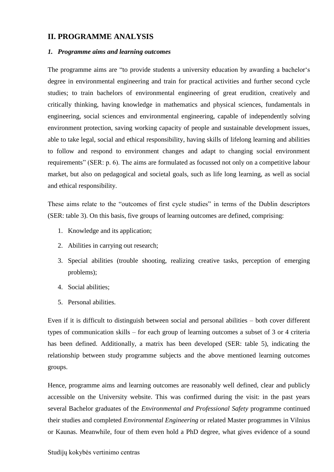### <span id="page-4-0"></span>**II. PROGRAMME ANALYSIS**

#### <span id="page-4-1"></span>*1. Programme aims and learning outcomes*

The programme aims are "to provide students a university education by awarding a bachelor's degree in environmental engineering and train for practical activities and further second cycle studies; to train bachelors of environmental engineering of great erudition, creatively and critically thinking, having knowledge in mathematics and physical sciences, fundamentals in engineering, social sciences and environmental engineering, capable of independently solving environment protection, saving working capacity of people and sustainable development issues, able to take legal, social and ethical responsibility, having skills of lifelong learning and abilities to follow and respond to environment changes and adapt to changing social environment requirements" (SER: p. 6). The aims are formulated as focussed not only on a competitive labour market, but also on pedagogical and societal goals, such as life long learning, as well as social and ethical responsibility.

These aims relate to the "outcomes of first cycle studies" in terms of the Dublin descriptors (SER: table 3). On this basis, five groups of learning outcomes are defined, comprising:

- 1. Knowledge and its application;
- 2. Abilities in carrying out research;
- 3. Special abilities (trouble shooting, realizing creative tasks, perception of emerging problems);
- 4. Social abilities;
- 5. Personal abilities.

Even if it is difficult to distinguish between social and personal abilities – both cover different types of communication skills – for each group of learning outcomes a subset of 3 or 4 criteria has been defined. Additionally, a matrix has been developed (SER: table 5), indicating the relationship between study programme subjects and the above mentioned learning outcomes groups.

Hence, programme aims and learning outcomes are reasonably well defined, clear and publicly accessible on the University website. This was confirmed during the visit: in the past years several Bachelor graduates of the *Environmental and Professional Safety* programme continued their studies and completed *Environmental Engineering* or related Master programmes in Vilnius or Kaunas. Meanwhile, four of them even hold a PhD degree, what gives evidence of a sound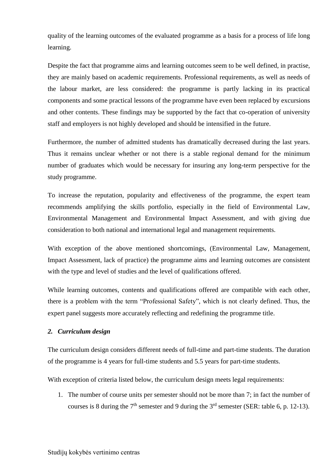quality of the learning outcomes of the evaluated programme as a basis for a process of life long learning.

Despite the fact that programme aims and learning outcomes seem to be well defined, in practise, they are mainly based on academic requirements. Professional requirements, as well as needs of the labour market, are less considered: the programme is partly lacking in its practical components and some practical lessons of the programme have even been replaced by excursions and other contents. These findings may be supported by the fact that co-operation of university staff and employers is not highly developed and should be intensified in the future.

Furthermore, the number of admitted students has dramatically decreased during the last years. Thus it remains unclear whether or not there is a stable regional demand for the minimum number of graduates which would be necessary for insuring any long-term perspective for the study programme.

To increase the reputation, popularity and effectiveness of the programme, the expert team recommends amplifying the skills portfolio, especially in the field of Environmental Law, Environmental Management and Environmental Impact Assessment, and with giving due consideration to both national and international legal and management requirements.

With exception of the above mentioned shortcomings, (Environmental Law, Management, Impact Assessment, lack of practice) the programme aims and learning outcomes are consistent with the type and level of studies and the level of qualifications offered.

While learning outcomes, contents and qualifications offered are compatible with each other, there is a problem with the term "Professional Safety", which is not clearly defined. Thus, the expert panel suggests more accurately reflecting and redefining the programme title.

#### <span id="page-5-0"></span>*2. Curriculum design*

The curriculum design considers different needs of full-time and part-time students. The duration of the programme is 4 years for full-time students and 5.5 years for part-time students.

With exception of criteria listed below, the curriculum design meets legal requirements:

1. The number of course units per semester should not be more than 7; in fact the number of courses is 8 during the  $7<sup>th</sup>$  semester and 9 during the  $3<sup>rd</sup>$  semester (SER: table 6, p. 12-13).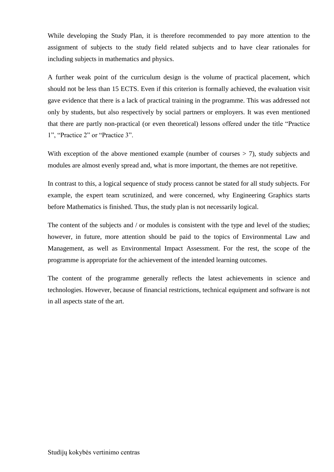While developing the Study Plan, it is therefore recommended to pay more attention to the assignment of subjects to the study field related subjects and to have clear rationales for including subjects in mathematics and physics.

A further weak point of the curriculum design is the volume of practical placement, which should not be less than 15 ECTS. Even if this criterion is formally achieved, the evaluation visit gave evidence that there is a lack of practical training in the programme. This was addressed not only by students, but also respectively by social partners or employers. It was even mentioned that there are partly non-practical (or even theoretical) lessons offered under the title "Practice 1", "Practice 2" or "Practice 3".

With exception of the above mentioned example (number of courses  $> 7$ ), study subjects and modules are almost evenly spread and, what is more important, the themes are not repetitive.

In contrast to this, a logical sequence of study process cannot be stated for all study subjects. For example, the expert team scrutinized, and were concerned, why Engineering Graphics starts before Mathematics is finished. Thus, the study plan is not necessarily logical.

The content of the subjects and / or modules is consistent with the type and level of the studies; however, in future, more attention should be paid to the topics of Environmental Law and Management, as well as Environmental Impact Assessment. For the rest, the scope of the programme is appropriate for the achievement of the intended learning outcomes.

The content of the programme generally reflects the latest achievements in science and technologies. However, because of financial restrictions, technical equipment and software is not in all aspects state of the art.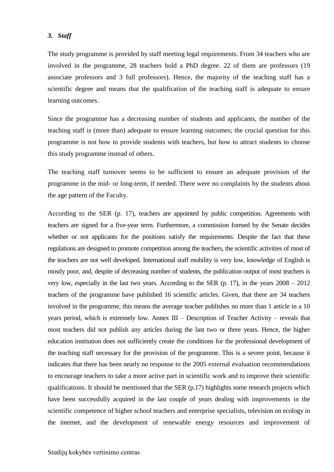#### <span id="page-7-0"></span>*3. Staff*

The study programme is provided by staff meeting legal requirements. From 34 teachers who are involved in the programme, 28 teachers hold a PhD degree. 22 of them are professors (19 associate professors and 3 full professors). Hence, the majority of the teaching staff has a scientific degree and means that the qualification of the teaching staff is adequate to ensure learning outcomes.

Since the programme has a decreasing number of students and applicants, the number of the teaching staff is (more than) adequate to ensure learning outcomes; the crucial question for this programme is not how to provide students with teachers, but how to attract students to choose this study programme instead of others.

The teaching staff turnover seems to be sufficient to ensure an adequate provision of the programme in the mid- or long-term, if needed. There were no complaints by the students about the age pattern of the Faculty.

According to the SER (p. 17), teachers are appointed by public competition. Agreements with teachers are signed for a five-year term. Furthermore, a commission formed by the Senate decides whether or not applicants for the positions satisfy the requirements. Despite the fact that these regulations are designed to promote competition among the teachers, the scientific activities of most of the teachers are not well developed. International staff mobility is very low, knowledge of English is mostly poor, and, despite of decreasing number of students, the publication output of most teachers is very low, especially in the last two years. According to the SER (p. 17), in the years 2008 – 2012 teachers of the programme have published 16 scientific articles. Given, that there are 34 teachers involved in the programme, this means the average teacher publishes no more than 1 article in a 10 years period, which is extremely low. Annex III – Description of Teacher Activity – reveals that most teachers did not publish any articles during the last two or three years. Hence, the higher education institution does not sufficiently create the conditions for the professional development of the teaching staff necessary for the provision of the programme. This is a severe point, because it indicates that there has been nearly no response to the 2005 external evaluation recommendations to encourage teachers to take a more active part in scientific work and to improve their scientific qualifications. It should be mentioned that the SER (p.17) highlights some research projects which have been successfully acquired in the last couple of years dealing with improvements in the scientific competence of higher school teachers and enterprise specialists, television on ecology in the internet, and the development of renewable energy resources and improvement of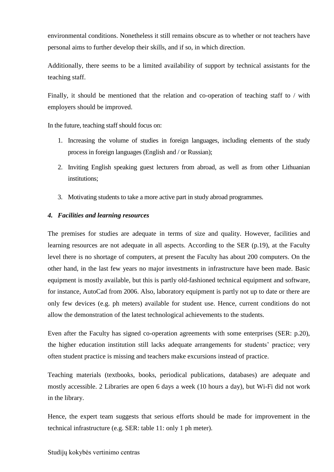environmental conditions. Nonetheless it still remains obscure as to whether or not teachers have personal aims to further develop their skills, and if so, in which direction.

Additionally, there seems to be a limited availability of support by technical assistants for the teaching staff.

Finally, it should be mentioned that the relation and co-operation of teaching staff to / with employers should be improved.

In the future, teaching staff should focus on:

- 1. Increasing the volume of studies in foreign languages, including elements of the study process in foreign languages (English and / or Russian);
- 2. Inviting English speaking guest lecturers from abroad, as well as from other Lithuanian institutions;
- 3. Motivating students to take a more active part in study abroad programmes.

#### <span id="page-8-0"></span>*4. Facilities and learning resources*

The premises for studies are adequate in terms of size and quality. However, facilities and learning resources are not adequate in all aspects. According to the SER (p.19), at the Faculty level there is no shortage of computers, at present the Faculty has about 200 computers. On the other hand, in the last few years no major investments in infrastructure have been made. Basic equipment is mostly available, but this is partly old-fashioned technical equipment and software, for instance, AutoCad from 2006. Also, laboratory equipment is partly not up to date or there are only few devices (e.g. ph meters) available for student use. Hence, current conditions do not allow the demonstration of the latest technological achievements to the students.

Even after the Faculty has signed co-operation agreements with some enterprises (SER: p.20), the higher education institution still lacks adequate arrangements for students' practice; very often student practice is missing and teachers make excursions instead of practice.

Teaching materials (textbooks, books, periodical publications, databases) are adequate and mostly accessible. 2 Libraries are open 6 days a week (10 hours a day), but Wi-Fi did not work in the library.

Hence, the expert team suggests that serious efforts should be made for improvement in the technical infrastructure (e.g. SER: table 11: only 1 ph meter).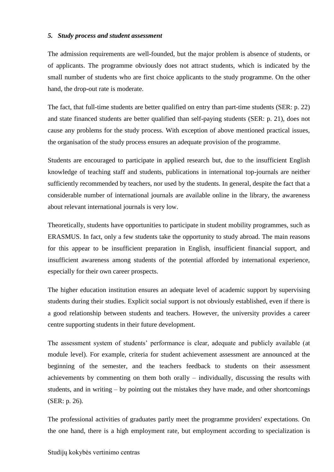#### <span id="page-9-0"></span>*5. Study process and student assessment*

The admission requirements are well-founded, but the major problem is absence of students, or of applicants. The programme obviously does not attract students, which is indicated by the small number of students who are first choice applicants to the study programme. On the other hand, the drop-out rate is moderate.

The fact, that full-time students are better qualified on entry than part-time students (SER: p. 22) and state financed students are better qualified than self-paying students (SER: p. 21), does not cause any problems for the study process. With exception of above mentioned practical issues, the organisation of the study process ensures an adequate provision of the programme.

Students are encouraged to participate in applied research but, due to the insufficient English knowledge of teaching staff and students, publications in international top-journals are neither sufficiently recommended by teachers, nor used by the students. In general, despite the fact that a considerable number of international journals are available online in the library, the awareness about relevant international journals is very low.

Theoretically, students have opportunities to participate in student mobility programmes, such as ERASMUS. In fact, only a few students take the opportunity to study abroad. The main reasons for this appear to be insufficient preparation in English, insufficient financial support, and insufficient awareness among students of the potential afforded by international experience, especially for their own career prospects.

The higher education institution ensures an adequate level of academic support by supervising students during their studies. Explicit social support is not obviously established, even if there is a good relationship between students and teachers. However, the university provides a career centre supporting students in their future development.

The assessment system of students' performance is clear, adequate and publicly available (at module level). For example, criteria for student achievement assessment are announced at the beginning of the semester, and the teachers feedback to students on their assessment achievements by commenting on them both orally – individually, discussing the results with students, and in writing – by pointing out the mistakes they have made, and other shortcomings (SER: p. 26).

The professional activities of graduates partly meet the programme providers' expectations. On the one hand, there is a high employment rate, but employment according to specialization is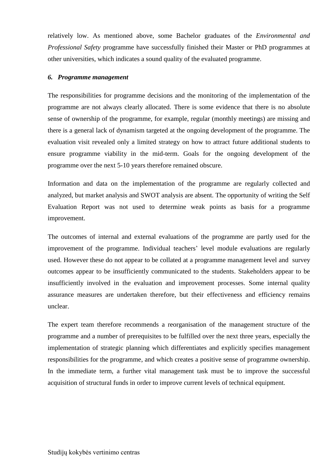relatively low. As mentioned above, some Bachelor graduates of the *Environmental and Professional Safety* programme have successfully finished their Master or PhD programmes at other universities, which indicates a sound quality of the evaluated programme.

#### <span id="page-10-0"></span>*6. Programme management*

The responsibilities for programme decisions and the monitoring of the implementation of the programme are not always clearly allocated. There is some evidence that there is no absolute sense of ownership of the programme, for example, regular (monthly meetings) are missing and there is a general lack of dynamism targeted at the ongoing development of the programme. The evaluation visit revealed only a limited strategy on how to attract future additional students to ensure programme viability in the mid-term. Goals for the ongoing development of the programme over the next 5-10 years therefore remained obscure.

Information and data on the implementation of the programme are regularly collected and analyzed, but market analysis and SWOT analysis are absent. The opportunity of writing the Self Evaluation Report was not used to determine weak points as basis for a programme improvement.

The outcomes of internal and external evaluations of the programme are partly used for the improvement of the programme. Individual teachers' level module evaluations are regularly used. However these do not appear to be collated at a programme management level and survey outcomes appear to be insufficiently communicated to the students. Stakeholders appear to be insufficiently involved in the evaluation and improvement processes. Some internal quality assurance measures are undertaken therefore, but their effectiveness and efficiency remains unclear.

The expert team therefore recommends a reorganisation of the management structure of the programme and a number of prerequisites to be fulfilled over the next three years, especially the implementation of strategic planning which differentiates and explicitly specifies management responsibilities for the programme, and which creates a positive sense of programme ownership. In the immediate term, a further vital management task must be to improve the successful acquisition of structural funds in order to improve current levels of technical equipment.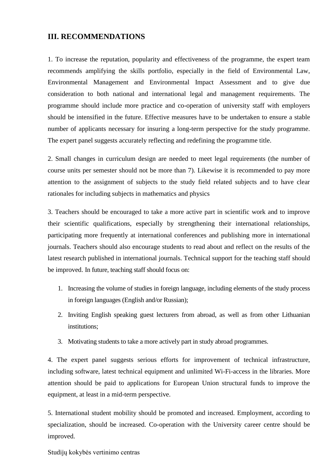### <span id="page-11-0"></span>**III. RECOMMENDATIONS**

1. To increase the reputation, popularity and effectiveness of the programme, the expert team recommends amplifying the skills portfolio, especially in the field of Environmental Law, Environmental Management and Environmental Impact Assessment and to give due consideration to both national and international legal and management requirements. The programme should include more practice and co-operation of university staff with employers should be intensified in the future. Effective measures have to be undertaken to ensure a stable number of applicants necessary for insuring a long-term perspective for the study programme. The expert panel suggests accurately reflecting and redefining the programme title.

2. Small changes in curriculum design are needed to meet legal requirements (the number of course units per semester should not be more than 7). Likewise it is recommended to pay more attention to the assignment of subjects to the study field related subjects and to have clear rationales for including subjects in mathematics and physics

3. Teachers should be encouraged to take a more active part in scientific work and to improve their scientific qualifications, especially by strengthening their international relationships, participating more frequently at international conferences and publishing more in international journals. Teachers should also encourage students to read about and reflect on the results of the latest research published in international journals. Technical support for the teaching staff should be improved. In future, teaching staff should focus on:

- 1. Increasing the volume of studies in foreign language, including elements of the study process in foreign languages (English and/or Russian);
- 2. Inviting English speaking guest lecturers from abroad, as well as from other Lithuanian institutions;
- 3. Motivating students to take a more actively part in study abroad programmes.

4. The expert panel suggests serious efforts for improvement of technical infrastructure, including software, latest technical equipment and unlimited Wi-Fi-access in the libraries. More attention should be paid to applications for European Union structural funds to improve the equipment, at least in a mid-term perspective.

5. International student mobility should be promoted and increased. Employment, according to specialization, should be increased. Co-operation with the University career centre should be improved.

Studijų kokybės vertinimo centras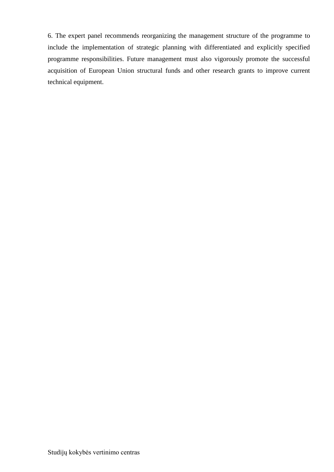6. The expert panel recommends reorganizing the management structure of the programme to include the implementation of strategic planning with differentiated and explicitly specified programme responsibilities. Future management must also vigorously promote the successful acquisition of European Union structural funds and other research grants to improve current technical equipment.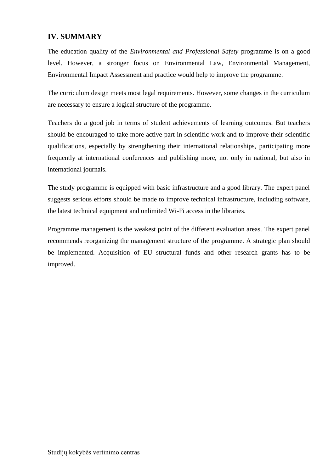## <span id="page-13-0"></span>**IV. SUMMARY**

The education quality of the *Environmental and Professional Safety* programme is on a good level. However, a stronger focus on Environmental Law, Environmental Management, Environmental Impact Assessment and practice would help to improve the programme.

The curriculum design meets most legal requirements. However, some changes in the curriculum are necessary to ensure a logical structure of the programme.

Teachers do a good job in terms of student achievements of learning outcomes. But teachers should be encouraged to take more active part in scientific work and to improve their scientific qualifications, especially by strengthening their international relationships, participating more frequently at international conferences and publishing more, not only in national, but also in international journals.

The study programme is equipped with basic infrastructure and a good library. The expert panel suggests serious efforts should be made to improve technical infrastructure, including software, the latest technical equipment and unlimited Wi-Fi access in the libraries.

Programme management is the weakest point of the different evaluation areas. The expert panel recommends reorganizing the management structure of the programme. A strategic plan should be implemented. Acquisition of EU structural funds and other research grants has to be improved.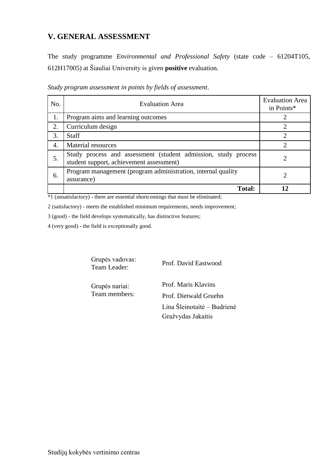## <span id="page-14-0"></span>**V. GENERAL ASSESSMENT**

The study programme *Environmental and Professional Safety* (state code – 61204T105, 612H17005) at Šiauliai University is given **positive** evaluation.

| No. | <b>Evaluation Area</b>                                                                                     | <b>Evaluation Area</b><br>in Points* |
|-----|------------------------------------------------------------------------------------------------------------|--------------------------------------|
| 1.  | Program aims and learning outcomes                                                                         |                                      |
| 2.  | Curriculum design                                                                                          |                                      |
| 3.  | <b>Staff</b>                                                                                               | $\overline{2}$                       |
| 4.  | Material resources                                                                                         | $\mathcal{D}$                        |
| .5. | Study process and assessment (student admission, study process<br>student support, achievement assessment) |                                      |
| 6.  | Program management (program administration, internal quality<br>assurance)                                 |                                      |
|     | <b>Total:</b>                                                                                              |                                      |

*Study program assessment in points by fields of assessment*.

\*1 (unsatisfactory) - there are essential shortcomings that must be eliminated;

2 (satisfactory) - meets the established minimum requirements, needs improvement;

3 (good) - the field develops systematically, has distinctive features;

4 (very good) - the field is exceptionally good.

Grupės vadovas: Team Leader: Prof. David Eastwood

Grupės nariai: Team members: Prof. Maris Klavins Prof. Dietwald Gruehn Lina Šleinotaitė – Budrienė Gražvydas Jakaitis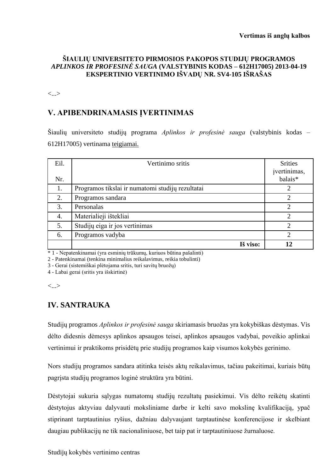#### **ŠIAULIŲ UNIVERSITETO PIRMOSIOS PAKOPOS STUDIJŲ PROGRAMOS** *APLINKOS IR PROFESINĖ SAUGA* **(VALSTYBINIS KODAS – 612H17005) 2013-04-19 EKSPERTINIO VERTINIMO IŠVADŲ NR. SV4-105 IŠRAŠAS**

<...>

## **V. APIBENDRINAMASIS ĮVERTINIMAS**

Šiaulių universiteto studijų programa *Aplinkos ir profesinė sauga* (valstybinis kodas – 612H17005) vertinama teigiamai.

| Eil. | Vertinimo sritis                                 | <b>Srities</b><br>įvertinimas, |
|------|--------------------------------------------------|--------------------------------|
| Nr.  |                                                  | balais*                        |
| 1.   | Programos tikslai ir numatomi studijų rezultatai | 2                              |
| 2.   | Programos sandara                                |                                |
| 3.   | Personalas                                       |                                |
| 4.   | Materialieji ištekliai                           | ↑                              |
| 5.   | Studijų eiga ir jos vertinimas                   | ↑                              |
| 6.   | Programos vadyba                                 | $\overline{2}$                 |
|      | Iš viso:                                         |                                |

\* 1 - Nepatenkinamai (yra esminių trūkumų, kuriuos būtina pašalinti)

2 - Patenkinamai (tenkina minimalius reikalavimus, reikia tobulinti)

3 - Gerai (sistemiškai plėtojama sritis, turi savitų bruožų)

4 - Labai gerai (sritis yra išskirtinė)

<...>

## **IV. SANTRAUKA**

Studijų programos *Aplinkos ir profesinė sauga* skiriamasis bruožas yra kokybiškas dėstymas. Vis dėlto didesnis dėmesys aplinkos apsaugos teisei, aplinkos apsaugos vadybai, poveikio aplinkai vertinimui ir praktikoms prisidėtų prie studijų programos kaip visumos kokybės gerinimo.

Nors studijų programos sandara atitinka teisės aktų reikalavimus, tačiau pakeitimai, kuriais būtų pagrįsta studijų programos loginė struktūra yra būtini.

Dėstytojai sukuria sąlygas numatomų studijų rezultatų pasiekimui. Vis dėlto reikėtų skatinti dėstytojus aktyviau dalyvauti moksliniame darbe ir kelti savo mokslinę kvalifikaciją, ypač stiprinant tarptautinius ryšius, dažniau dalyvaujant tarptautinėse konferencijose ir skelbiant daugiau publikacijų ne tik nacionaliniuose, bet taip pat ir tarptautiniuose žurnaluose.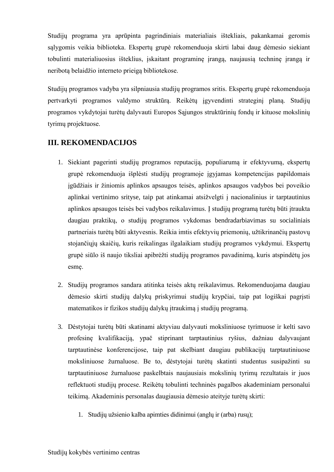Studijų programa yra aprūpinta pagrindiniais materialiais ištekliais, pakankamai geromis sąlygomis veikia biblioteka. Ekspertų grupė rekomenduoja skirti labai daug dėmesio siekiant tobulinti materialiuosius išteklius, įskaitant programinę įrangą, naujausią techninę įrangą ir neribotą belaidžio interneto prieigą bibliotekose.

Studijų programos vadyba yra silpniausia studijų programos sritis. Ekspertų grupė rekomenduoja pertvarkyti programos valdymo struktūrą. Reikėtų įgyvendinti strateginį planą. Studijų programos vykdytojai turėtų dalyvauti Europos Sąjungos struktūrinių fondų ir kituose mokslinių tyrimų projektuose.

## **III. REKOMENDACIJOS**

- 1. Siekiant pagerinti studijų programos reputaciją, populiarumą ir efektyvumą, ekspertų grupė rekomenduoja išplėsti studijų programoje įgyjamas kompetencijas papildomais įgūdžiais ir žiniomis aplinkos apsaugos teisės, aplinkos apsaugos vadybos bei poveikio aplinkai vertinimo srityse, taip pat atinkamai atsižvelgti į nacionalinius ir tarptautinius aplinkos apsaugos teisės bei vadybos reikalavimus. Į studijų programą turėtų būti įtraukta daugiau praktikų, o studijų programos vykdomas bendradarbiavimas su socialiniais partneriais turėtų būti aktyvesnis. Reikia imtis efektyvių priemonių, užtikrinančių pastovų stojančiųjų skaičių, kuris reikalingas ilgalaikiam studijų programos vykdymui. Ekspertų grupė siūlo iš naujo tiksliai apibrėžti studijų programos pavadinimą, kuris atspindėtų jos esmę.
- 2. Studijų programos sandara atitinka teisės aktų reikalavimus. Rekomenduojama daugiau dėmesio skirti studijų dalykų priskyrimui studijų krypčiai, taip pat logiškai pagrįsti matematikos ir fizikos studijų dalykų įtraukimą į studijų programą.
- 3. Dėstytojai turėtų būti skatinami aktyviau dalyvauti moksliniuose tyrimuose ir kelti savo profesinę kvalifikaciją, ypač stiprinant tarptautinius ryšius, dažniau dalyvaujant tarptautinėse konferencijose, taip pat skelbiant daugiau publikacijų tarptautiniuose moksliniuose žurnaluose. Be to, dėstytojai turėtų skatinti studentus susipažinti su tarptautiniuose žurnaluose paskelbtais naujausiais mokslinių tyrimų rezultatais ir juos reflektuoti studijų procese. Reikėtų tobulinti techninės pagalbos akademiniam personalui teikimą. Akademinis personalas daugiausia dėmesio ateityje turėtų skirti:
	- 1. Studijų užsienio kalba apimties didinimui (anglų ir (arba) rusų);